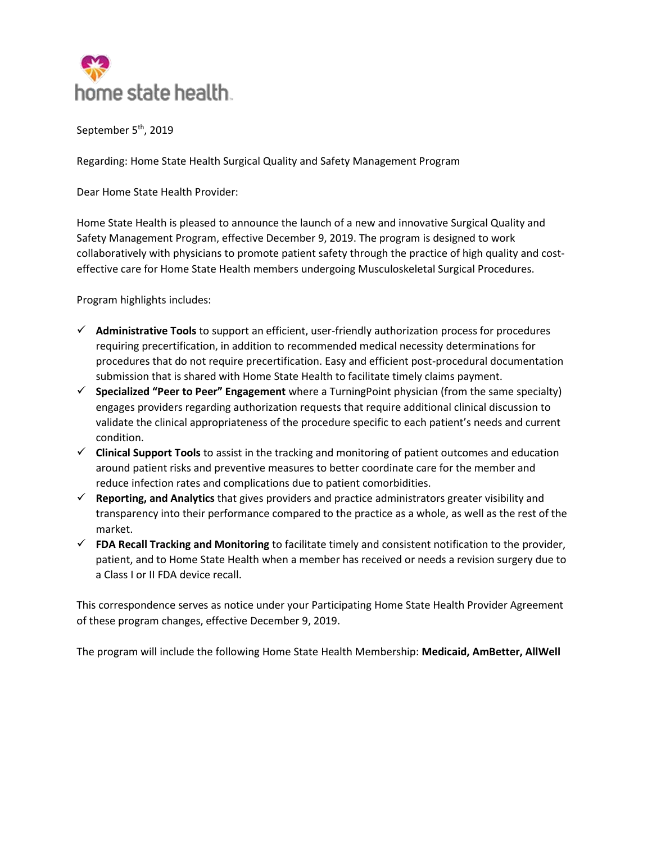

September 5<sup>th</sup>, 2019

Regarding: Home State Health Surgical Quality and Safety Management Program

Dear Home State Health Provider:

Home State Health is pleased to announce the launch of a new and innovative Surgical Quality and Safety Management Program, effective December 9, 2019. The program is designed to work collaboratively with physicians to promote patient safety through the practice of high quality and costeffective care for Home State Health members undergoing Musculoskeletal Surgical Procedures.

Program highlights includes:

- **Administrative Tools** to support an efficient, user-friendly authorization process for procedures requiring precertification, in addition to recommended medical necessity determinations for procedures that do not require precertification. Easy and efficient post-procedural documentation submission that is shared with Home State Health to facilitate timely claims payment.
- **Specialized "Peer to Peer" Engagement** where a TurningPoint physician (from the same specialty) engages providers regarding authorization requests that require additional clinical discussion to validate the clinical appropriateness of the procedure specific to each patient's needs and current condition.
- **Clinical Support Tools** to assist in the tracking and monitoring of patient outcomes and education around patient risks and preventive measures to better coordinate care for the member and reduce infection rates and complications due to patient comorbidities.
- **Reporting, and Analytics** that gives providers and practice administrators greater visibility and transparency into their performance compared to the practice as a whole, as well as the rest of the market.
- **FDA Recall Tracking and Monitoring** to facilitate timely and consistent notification to the provider, patient, and to Home State Health when a member has received or needs a revision surgery due to a Class I or II FDA device recall.

This correspondence serves as notice under your Participating Home State Health Provider Agreement of these program changes, effective December 9, 2019.

The program will include the following Home State Health Membership: **Medicaid, AmBetter, AllWell**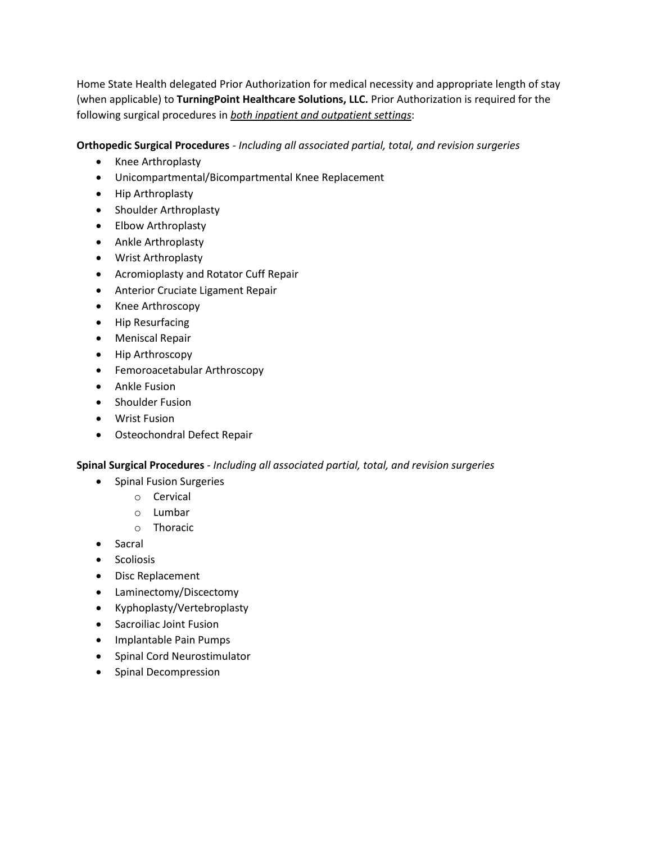Home State Health delegated Prior Authorization for medical necessity and appropriate length of stay (when applicable) to **TurningPoint Healthcare Solutions, LLC.** Prior Authorization is required for the following surgical procedures in *both inpatient and outpatient settings*:

# **Orthopedic Surgical Procedures** *- Including all associated partial, total, and revision surgeries*

- Knee Arthroplasty
- Unicompartmental/Bicompartmental Knee Replacement
- Hip Arthroplasty
- Shoulder Arthroplasty
- Elbow Arthroplasty
- Ankle Arthroplasty
- Wrist Arthroplasty
- Acromioplasty and Rotator Cuff Repair
- Anterior Cruciate Ligament Repair
- Knee Arthroscopy
- Hip Resurfacing
- Meniscal Repair
- Hip Arthroscopy
- Femoroacetabular Arthroscopy
- Ankle Fusion
- Shoulder Fusion
- Wrist Fusion
- Osteochondral Defect Repair

# **Spinal Surgical Procedures** - *Including all associated partial, total, and revision surgeries*

- Spinal Fusion Surgeries
	- o Cervical
	- o Lumbar
	- o Thoracic
- Sacral
- Scoliosis
- Disc Replacement
- Laminectomy/Discectomy
- Kyphoplasty/Vertebroplasty
- **•** Sacroiliac Joint Fusion
- Implantable Pain Pumps
- Spinal Cord Neurostimulator
- Spinal Decompression